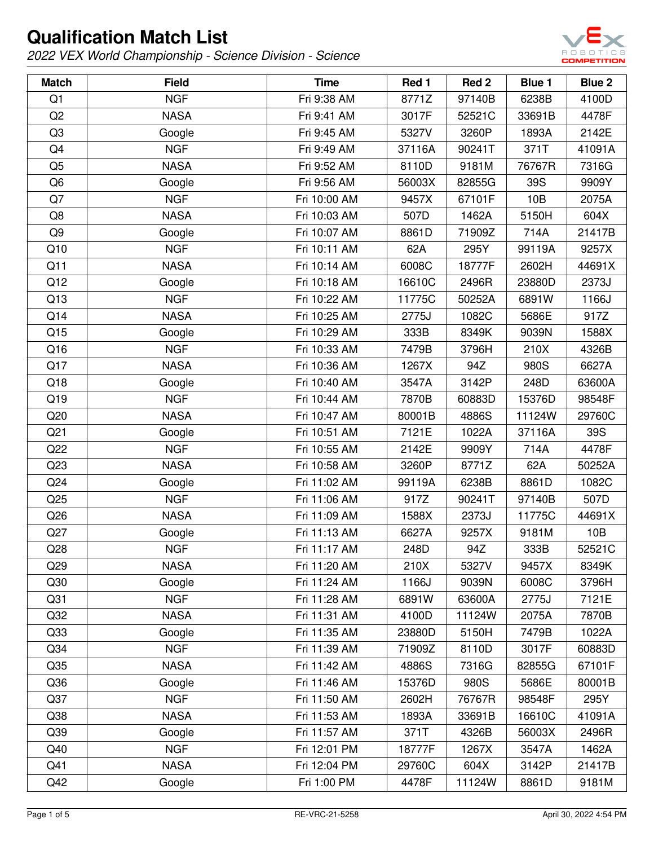

| <b>Match</b>    | <b>Field</b> | <b>Time</b>  | Red 1  | Red 2  | Blue 1 | Blue 2 |
|-----------------|--------------|--------------|--------|--------|--------|--------|
| Q1              | <b>NGF</b>   | Fri 9:38 AM  | 8771Z  | 97140B | 6238B  | 4100D  |
| Q2              | <b>NASA</b>  | Fri 9:41 AM  | 3017F  | 52521C | 33691B | 4478F  |
| Q <sub>3</sub>  | Google       | Fri 9:45 AM  | 5327V  | 3260P  | 1893A  | 2142E  |
| Q4              | <b>NGF</b>   | Fri 9:49 AM  | 37116A | 90241T | 371T   | 41091A |
| Q <sub>5</sub>  | <b>NASA</b>  | Fri 9:52 AM  | 8110D  | 9181M  | 76767R | 7316G  |
| Q <sub>6</sub>  | Google       | Fri 9:56 AM  | 56003X | 82855G | 39S    | 9909Y  |
| Q7              | <b>NGF</b>   | Fri 10:00 AM | 9457X  | 67101F | 10B    | 2075A  |
| Q8              | <b>NASA</b>  | Fri 10:03 AM | 507D   | 1462A  | 5150H  | 604X   |
| Q <sub>9</sub>  | Google       | Fri 10:07 AM | 8861D  | 71909Z | 714A   | 21417B |
| Q10             | <b>NGF</b>   | Fri 10:11 AM | 62A    | 295Y   | 99119A | 9257X  |
| Q11             | <b>NASA</b>  | Fri 10:14 AM | 6008C  | 18777F | 2602H  | 44691X |
| Q12             | Google       | Fri 10:18 AM | 16610C | 2496R  | 23880D | 2373J  |
| Q13             | <b>NGF</b>   | Fri 10:22 AM | 11775C | 50252A | 6891W  | 1166J  |
| Q14             | <b>NASA</b>  | Fri 10:25 AM | 2775J  | 1082C  | 5686E  | 917Z   |
| Q15             | Google       | Fri 10:29 AM | 333B   | 8349K  | 9039N  | 1588X  |
| Q16             | <b>NGF</b>   | Fri 10:33 AM | 7479B  | 3796H  | 210X   | 4326B  |
| Q17             | <b>NASA</b>  | Fri 10:36 AM | 1267X  | 94Z    | 980S   | 6627A  |
| Q18             | Google       | Fri 10:40 AM | 3547A  | 3142P  | 248D   | 63600A |
| Q19             | <b>NGF</b>   | Fri 10:44 AM | 7870B  | 60883D | 15376D | 98548F |
| Q20             | <b>NASA</b>  | Fri 10:47 AM | 80001B | 4886S  | 11124W | 29760C |
| Q <sub>21</sub> | Google       | Fri 10:51 AM | 7121E  | 1022A  | 37116A | 39S    |
| Q22             | <b>NGF</b>   | Fri 10:55 AM | 2142E  | 9909Y  | 714A   | 4478F  |
| Q23             | <b>NASA</b>  | Fri 10:58 AM | 3260P  | 8771Z  | 62A    | 50252A |
| Q24             | Google       | Fri 11:02 AM | 99119A | 6238B  | 8861D  | 1082C  |
| Q25             | <b>NGF</b>   | Fri 11:06 AM | 917Z   | 90241T | 97140B | 507D   |
| Q26             | <b>NASA</b>  | Fri 11:09 AM | 1588X  | 2373J  | 11775C | 44691X |
| Q27             | Google       | Fri 11:13 AM | 6627A  | 9257X  | 9181M  | 10B    |
| Q28             | <b>NGF</b>   | Fri 11:17 AM | 248D   | 94Z    | 333B   | 52521C |
| Q <sub>29</sub> | <b>NASA</b>  | Fri 11:20 AM | 210X   | 5327V  | 9457X  | 8349K  |
| Q30             | Google       | Fri 11:24 AM | 1166J  | 9039N  | 6008C  | 3796H  |
| Q <sub>31</sub> | <b>NGF</b>   | Fri 11:28 AM | 6891W  | 63600A | 2775J  | 7121E  |
| Q <sub>32</sub> | <b>NASA</b>  | Fri 11:31 AM | 4100D  | 11124W | 2075A  | 7870B  |
| Q33             | Google       | Fri 11:35 AM | 23880D | 5150H  | 7479B  | 1022A  |
| Q <sub>34</sub> | <b>NGF</b>   | Fri 11:39 AM | 71909Z | 8110D  | 3017F  | 60883D |
| Q35             | <b>NASA</b>  | Fri 11:42 AM | 4886S  | 7316G  | 82855G | 67101F |
| Q36             | Google       | Fri 11:46 AM | 15376D | 980S   | 5686E  | 80001B |
| Q37             | <b>NGF</b>   | Fri 11:50 AM | 2602H  | 76767R | 98548F | 295Y   |
| Q38             | <b>NASA</b>  | Fri 11:53 AM | 1893A  | 33691B | 16610C | 41091A |
| Q39             | Google       | Fri 11:57 AM | 371T   | 4326B  | 56003X | 2496R  |
| Q40             | <b>NGF</b>   | Fri 12:01 PM | 18777F | 1267X  | 3547A  | 1462A  |
| Q41             | <b>NASA</b>  | Fri 12:04 PM | 29760C | 604X   | 3142P  | 21417B |
| Q42             | Google       | Fri 1:00 PM  | 4478F  | 11124W | 8861D  | 9181M  |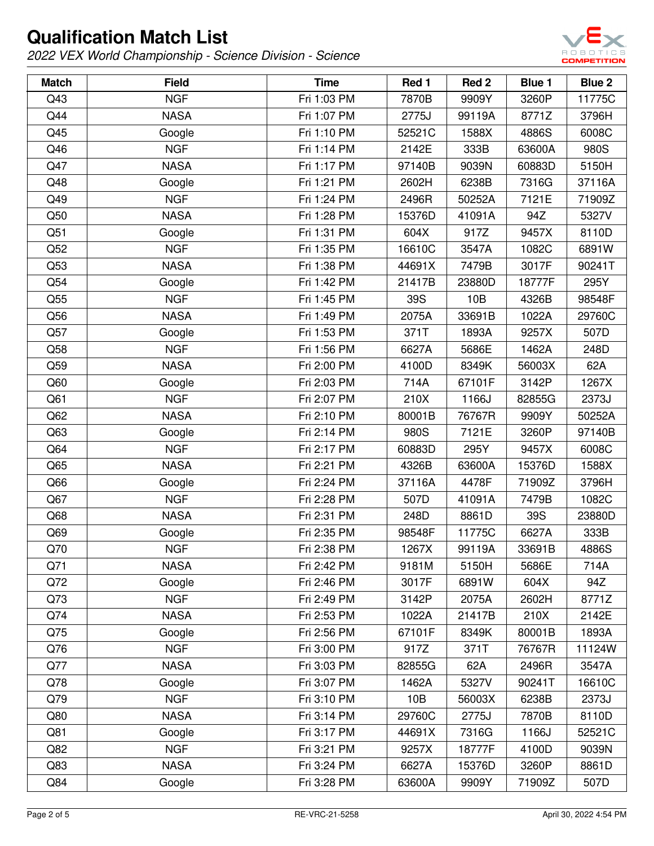

| <b>Match</b> | <b>Field</b> | <b>Time</b> | Red 1  | Red <sub>2</sub> | Blue 1 | Blue 2 |
|--------------|--------------|-------------|--------|------------------|--------|--------|
| Q43          | <b>NGF</b>   | Fri 1:03 PM | 7870B  | 9909Y            | 3260P  | 11775C |
| Q44          | <b>NASA</b>  | Fri 1:07 PM | 2775J  | 99119A           | 8771Z  | 3796H  |
| Q45          | Google       | Fri 1:10 PM | 52521C | 1588X            | 4886S  | 6008C  |
| Q46          | <b>NGF</b>   | Fri 1:14 PM | 2142E  | 333B             | 63600A | 980S   |
| Q47          | <b>NASA</b>  | Fri 1:17 PM | 97140B | 9039N            | 60883D | 5150H  |
| Q48          | Google       | Fri 1:21 PM | 2602H  | 6238B            | 7316G  | 37116A |
| Q49          | <b>NGF</b>   | Fri 1:24 PM | 2496R  | 50252A           | 7121E  | 71909Z |
| Q50          | <b>NASA</b>  | Fri 1:28 PM | 15376D | 41091A           | 94Z    | 5327V  |
| Q51          | Google       | Fri 1:31 PM | 604X   | 917Z             | 9457X  | 8110D  |
| Q52          | <b>NGF</b>   | Fri 1:35 PM | 16610C | 3547A            | 1082C  | 6891W  |
| Q53          | <b>NASA</b>  | Fri 1:38 PM | 44691X | 7479B            | 3017F  | 90241T |
| Q54          | Google       | Fri 1:42 PM | 21417B | 23880D           | 18777F | 295Y   |
| Q55          | <b>NGF</b>   | Fri 1:45 PM | 39S    | 10B              | 4326B  | 98548F |
| Q56          | <b>NASA</b>  | Fri 1:49 PM | 2075A  | 33691B           | 1022A  | 29760C |
| Q57          | Google       | Fri 1:53 PM | 371T   | 1893A            | 9257X  | 507D   |
| Q58          | <b>NGF</b>   | Fri 1:56 PM | 6627A  | 5686E            | 1462A  | 248D   |
| Q59          | <b>NASA</b>  | Fri 2:00 PM | 4100D  | 8349K            | 56003X | 62A    |
| Q60          | Google       | Fri 2:03 PM | 714A   | 67101F           | 3142P  | 1267X  |
| Q61          | <b>NGF</b>   | Fri 2:07 PM | 210X   | 1166J            | 82855G | 2373J  |
| Q62          | <b>NASA</b>  | Fri 2:10 PM | 80001B | 76767R           | 9909Y  | 50252A |
| Q63          | Google       | Fri 2:14 PM | 980S   | 7121E            | 3260P  | 97140B |
| Q64          | <b>NGF</b>   | Fri 2:17 PM | 60883D | 295Y             | 9457X  | 6008C  |
| Q65          | <b>NASA</b>  | Fri 2:21 PM | 4326B  | 63600A           | 15376D | 1588X  |
| Q66          | Google       | Fri 2:24 PM | 37116A | 4478F            | 71909Z | 3796H  |
| Q67          | <b>NGF</b>   | Fri 2:28 PM | 507D   | 41091A           | 7479B  | 1082C  |
| Q68          | <b>NASA</b>  | Fri 2:31 PM | 248D   | 8861D            | 39S    | 23880D |
| Q69          | Google       | Fri 2:35 PM | 98548F | 11775C           | 6627A  | 333B   |
| Q70          | <b>NGF</b>   | Fri 2:38 PM | 1267X  | 99119A           | 33691B | 4886S  |
| Q71          | <b>NASA</b>  | Fri 2:42 PM | 9181M  | 5150H            | 5686E  | 714A   |
| Q72          | Google       | Fri 2:46 PM | 3017F  | 6891W            | 604X   | 94Z    |
| Q73          | <b>NGF</b>   | Fri 2:49 PM | 3142P  | 2075A            | 2602H  | 8771Z  |
| Q74          | <b>NASA</b>  | Fri 2:53 PM | 1022A  | 21417B           | 210X   | 2142E  |
| Q75          | Google       | Fri 2:56 PM | 67101F | 8349K            | 80001B | 1893A  |
| Q76          | <b>NGF</b>   | Fri 3:00 PM | 917Z   | 371T             | 76767R | 11124W |
| Q77          | <b>NASA</b>  | Fri 3:03 PM | 82855G | 62A              | 2496R  | 3547A  |
| Q78          | Google       | Fri 3:07 PM | 1462A  | 5327V            | 90241T | 16610C |
| Q79          | <b>NGF</b>   | Fri 3:10 PM | 10B    | 56003X           | 6238B  | 2373J  |
| Q80          | <b>NASA</b>  | Fri 3:14 PM | 29760C | 2775J            | 7870B  | 8110D  |
| Q81          | Google       | Fri 3:17 PM | 44691X | 7316G            | 1166J  | 52521C |
| Q82          | <b>NGF</b>   | Fri 3:21 PM | 9257X  | 18777F           | 4100D  | 9039N  |
| Q83          | <b>NASA</b>  | Fri 3:24 PM | 6627A  | 15376D           | 3260P  | 8861D  |
| Q84          | Google       | Fri 3:28 PM | 63600A | 9909Y            | 71909Z | 507D   |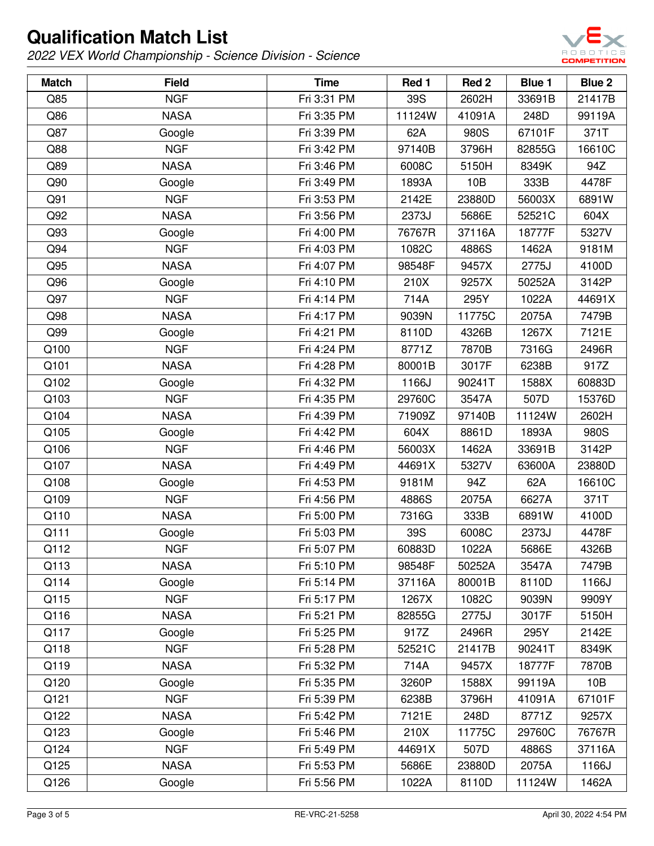

| <b>Match</b> | <b>Field</b> | <b>Time</b> | Red 1  | Red 2  | <b>Blue 1</b> | Blue 2 |
|--------------|--------------|-------------|--------|--------|---------------|--------|
| Q85          | <b>NGF</b>   | Fri 3:31 PM | 39S    | 2602H  | 33691B        | 21417B |
| Q86          | <b>NASA</b>  | Fri 3:35 PM | 11124W | 41091A | 248D          | 99119A |
| Q87          | Google       | Fri 3:39 PM | 62A    | 980S   | 67101F        | 371T   |
| Q88          | <b>NGF</b>   | Fri 3:42 PM | 97140B | 3796H  | 82855G        | 16610C |
| Q89          | <b>NASA</b>  | Fri 3:46 PM | 6008C  | 5150H  | 8349K         | 94Z    |
| Q90          | Google       | Fri 3:49 PM | 1893A  | 10B    | 333B          | 4478F  |
| Q91          | <b>NGF</b>   | Fri 3:53 PM | 2142E  | 23880D | 56003X        | 6891W  |
| Q92          | <b>NASA</b>  | Fri 3:56 PM | 2373J  | 5686E  | 52521C        | 604X   |
| Q93          | Google       | Fri 4:00 PM | 76767R | 37116A | 18777F        | 5327V  |
| Q94          | <b>NGF</b>   | Fri 4:03 PM | 1082C  | 4886S  | 1462A         | 9181M  |
| Q95          | <b>NASA</b>  | Fri 4:07 PM | 98548F | 9457X  | 2775J         | 4100D  |
| Q96          | Google       | Fri 4:10 PM | 210X   | 9257X  | 50252A        | 3142P  |
| Q97          | <b>NGF</b>   | Fri 4:14 PM | 714A   | 295Y   | 1022A         | 44691X |
| Q98          | <b>NASA</b>  | Fri 4:17 PM | 9039N  | 11775C | 2075A         | 7479B  |
| Q99          | Google       | Fri 4:21 PM | 8110D  | 4326B  | 1267X         | 7121E  |
| Q100         | <b>NGF</b>   | Fri 4:24 PM | 8771Z  | 7870B  | 7316G         | 2496R  |
| Q101         | <b>NASA</b>  | Fri 4:28 PM | 80001B | 3017F  | 6238B         | 917Z   |
| Q102         | Google       | Fri 4:32 PM | 1166J  | 90241T | 1588X         | 60883D |
| Q103         | <b>NGF</b>   | Fri 4:35 PM | 29760C | 3547A  | 507D          | 15376D |
| Q104         | <b>NASA</b>  | Fri 4:39 PM | 71909Z | 97140B | 11124W        | 2602H  |
| Q105         | Google       | Fri 4:42 PM | 604X   | 8861D  | 1893A         | 980S   |
| Q106         | <b>NGF</b>   | Fri 4:46 PM | 56003X | 1462A  | 33691B        | 3142P  |
| Q107         | <b>NASA</b>  | Fri 4:49 PM | 44691X | 5327V  | 63600A        | 23880D |
| Q108         | Google       | Fri 4:53 PM | 9181M  | 94Z    | 62A           | 16610C |
| Q109         | <b>NGF</b>   | Fri 4:56 PM | 4886S  | 2075A  | 6627A         | 371T   |
| Q110         | <b>NASA</b>  | Fri 5:00 PM | 7316G  | 333B   | 6891W         | 4100D  |
| Q111         | Google       | Fri 5:03 PM | 39S    | 6008C  | 2373J         | 4478F  |
| Q112         | <b>NGF</b>   | Fri 5:07 PM | 60883D | 1022A  | 5686E         | 4326B  |
| Q113         | <b>NASA</b>  | Fri 5:10 PM | 98548F | 50252A | 3547A         | 7479B  |
| Q114         | Google       | Fri 5:14 PM | 37116A | 80001B | 8110D         | 1166J  |
| Q115         | <b>NGF</b>   | Fri 5:17 PM | 1267X  | 1082C  | 9039N         | 9909Y  |
| Q116         | <b>NASA</b>  | Fri 5:21 PM | 82855G | 2775J  | 3017F         | 5150H  |
| Q117         | Google       | Fri 5:25 PM | 917Z   | 2496R  | 295Y          | 2142E  |
| Q118         | <b>NGF</b>   | Fri 5:28 PM | 52521C | 21417B | 90241T        | 8349K  |
| Q119         | <b>NASA</b>  | Fri 5:32 PM | 714A   | 9457X  | 18777F        | 7870B  |
| Q120         | Google       | Fri 5:35 PM | 3260P  | 1588X  | 99119A        | 10B    |
| Q121         | <b>NGF</b>   | Fri 5:39 PM | 6238B  | 3796H  | 41091A        | 67101F |
| Q122         | <b>NASA</b>  | Fri 5:42 PM | 7121E  | 248D   | 8771Z         | 9257X  |
| Q123         | Google       | Fri 5:46 PM | 210X   | 11775C | 29760C        | 76767R |
| Q124         | <b>NGF</b>   | Fri 5:49 PM | 44691X | 507D   | 4886S         | 37116A |
| Q125         | <b>NASA</b>  | Fri 5:53 PM | 5686E  | 23880D | 2075A         | 1166J  |
| Q126         | Google       | Fri 5:56 PM | 1022A  | 8110D  | 11124W        | 1462A  |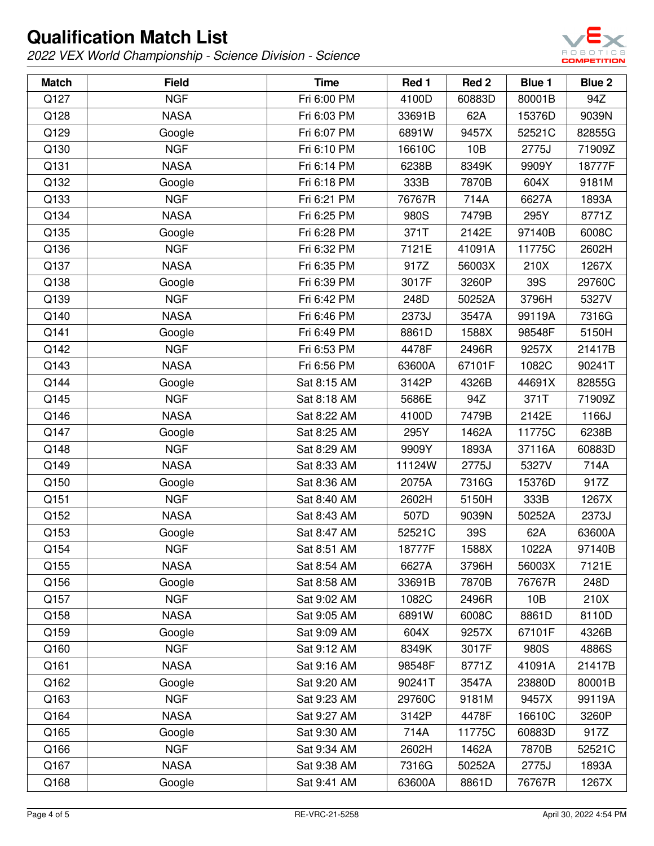

| <b>Match</b> | <b>Field</b> | <b>Time</b> | Red 1  | Red <sub>2</sub> | <b>Blue 1</b> | Blue 2 |
|--------------|--------------|-------------|--------|------------------|---------------|--------|
| Q127         | <b>NGF</b>   | Fri 6:00 PM | 4100D  | 60883D           | 80001B        | 94Z    |
| Q128         | <b>NASA</b>  | Fri 6:03 PM | 33691B | 62A              | 15376D        | 9039N  |
| Q129         | Google       | Fri 6:07 PM | 6891W  | 9457X            | 52521C        | 82855G |
| Q130         | <b>NGF</b>   | Fri 6:10 PM | 16610C | 10B              | 2775J         | 71909Z |
| Q131         | <b>NASA</b>  | Fri 6:14 PM | 6238B  | 8349K            | 9909Y         | 18777F |
| Q132         | Google       | Fri 6:18 PM | 333B   | 7870B            | 604X          | 9181M  |
| Q133         | <b>NGF</b>   | Fri 6:21 PM | 76767R | 714A             | 6627A         | 1893A  |
| Q134         | <b>NASA</b>  | Fri 6:25 PM | 980S   | 7479B            | 295Y          | 8771Z  |
| Q135         | Google       | Fri 6:28 PM | 371T   | 2142E            | 97140B        | 6008C  |
| Q136         | <b>NGF</b>   | Fri 6:32 PM | 7121E  | 41091A           | 11775C        | 2602H  |
| Q137         | <b>NASA</b>  | Fri 6:35 PM | 917Z   | 56003X           | 210X          | 1267X  |
| Q138         | Google       | Fri 6:39 PM | 3017F  | 3260P            | 39S           | 29760C |
| Q139         | <b>NGF</b>   | Fri 6:42 PM | 248D   | 50252A           | 3796H         | 5327V  |
| Q140         | <b>NASA</b>  | Fri 6:46 PM | 2373J  | 3547A            | 99119A        | 7316G  |
| Q141         | Google       | Fri 6:49 PM | 8861D  | 1588X            | 98548F        | 5150H  |
| Q142         | <b>NGF</b>   | Fri 6:53 PM | 4478F  | 2496R            | 9257X         | 21417B |
| Q143         | <b>NASA</b>  | Fri 6:56 PM | 63600A | 67101F           | 1082C         | 90241T |
| Q144         | Google       | Sat 8:15 AM | 3142P  | 4326B            | 44691X        | 82855G |
| Q145         | <b>NGF</b>   | Sat 8:18 AM | 5686E  | 94Z              | 371T          | 71909Z |
| Q146         | <b>NASA</b>  | Sat 8:22 AM | 4100D  | 7479B            | 2142E         | 1166J  |
| Q147         | Google       | Sat 8:25 AM | 295Y   | 1462A            | 11775C        | 6238B  |
| Q148         | <b>NGF</b>   | Sat 8:29 AM | 9909Y  | 1893A            | 37116A        | 60883D |
| Q149         | <b>NASA</b>  | Sat 8:33 AM | 11124W | 2775J            | 5327V         | 714A   |
| Q150         | Google       | Sat 8:36 AM | 2075A  | 7316G            | 15376D        | 917Z   |
| Q151         | <b>NGF</b>   | Sat 8:40 AM | 2602H  | 5150H            | 333B          | 1267X  |
| Q152         | <b>NASA</b>  | Sat 8:43 AM | 507D   | 9039N            | 50252A        | 2373J  |
| Q153         | Google       | Sat 8:47 AM | 52521C | 39S              | 62A           | 63600A |
| Q154         | <b>NGF</b>   | Sat 8:51 AM | 18777F | 1588X            | 1022A         | 97140B |
| Q155         | <b>NASA</b>  | Sat 8:54 AM | 6627A  | 3796H            | 56003X        | 7121E  |
| Q156         | Google       | Sat 8:58 AM | 33691B | 7870B            | 76767R        | 248D   |
| Q157         | <b>NGF</b>   | Sat 9:02 AM | 1082C  | 2496R            | 10B           | 210X   |
| Q158         | <b>NASA</b>  | Sat 9:05 AM | 6891W  | 6008C            | 8861D         | 8110D  |
| Q159         | Google       | Sat 9:09 AM | 604X   | 9257X            | 67101F        | 4326B  |
| Q160         | <b>NGF</b>   | Sat 9:12 AM | 8349K  | 3017F            | 980S          | 4886S  |
| Q161         | <b>NASA</b>  | Sat 9:16 AM | 98548F | 8771Z            | 41091A        | 21417B |
| Q162         | Google       | Sat 9:20 AM | 90241T | 3547A            | 23880D        | 80001B |
| Q163         | <b>NGF</b>   | Sat 9:23 AM | 29760C | 9181M            | 9457X         | 99119A |
| Q164         | <b>NASA</b>  | Sat 9:27 AM | 3142P  | 4478F            | 16610C        | 3260P  |
| Q165         | Google       | Sat 9:30 AM | 714A   | 11775C           | 60883D        | 917Z   |
| Q166         | <b>NGF</b>   | Sat 9:34 AM | 2602H  | 1462A            | 7870B         | 52521C |
| Q167         | <b>NASA</b>  | Sat 9:38 AM | 7316G  | 50252A           | 2775J         | 1893A  |
| Q168         | Google       | Sat 9:41 AM | 63600A | 8861D            | 76767R        | 1267X  |